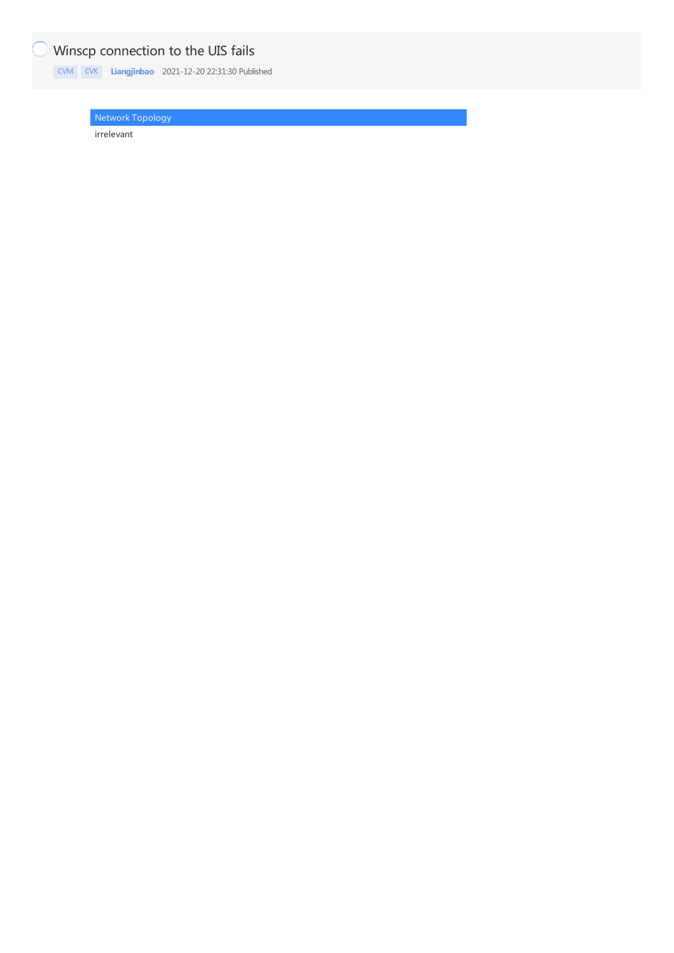## Winscp connection to the UIS fails

[CVM](https://knowledge.h3c.com/questions/catesDis/779) [CVK](https://knowledge.h3c.com/questions/catesDis/780) **[Liangjinbao](https://knowledge.h3c.com/user/other/18)** 2021-12-20 22:31:30 Published

Network Topology

irrelevant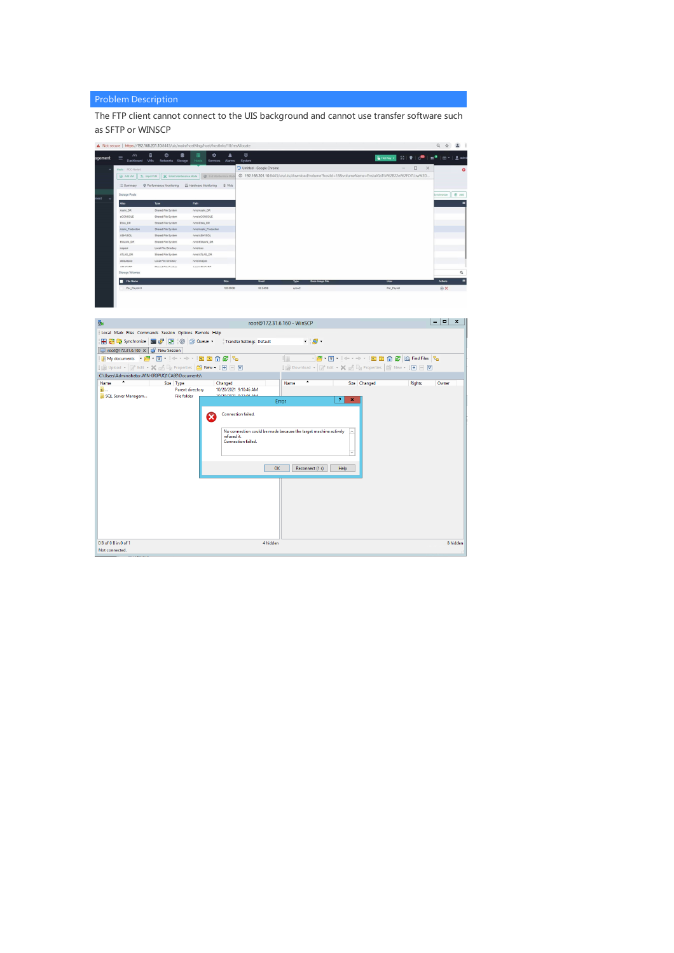## Problem Description

The FTP client cannot connect to the UIS background and cannot use transfer software such as SFTP or WINSCP

| agement             | $\odot$<br>$\equiv$<br>Dashboard | 言<br>曲<br>П<br>VMs<br>Networks Storage   | 羅<br>٠<br>Hosts<br>Services  | A<br>Alarms  | $\circledcirc$<br>System                                                                         | <sup>2</sup> Hot Key v<br>$53$ $\pm$ $0$ |             | $2$ adm     |
|---------------------|----------------------------------|------------------------------------------|------------------------------|--------------|--------------------------------------------------------------------------------------------------|------------------------------------------|-------------|-------------|
| $\hat{\phantom{a}}$ | Hosts / PDC-Node4                |                                          |                              |              | O Untitled - Google Chrome                                                                       | $\Box$<br>$\times$                       |             | $\circ$     |
|                     | <b>Add VM</b>                    | X Enter Maintenance Mode<br>3. Import VM | @ Ext Maintenance Mod        |              | @ 192.168.201.10:8443/uis/uis/download/volume?hostId=188volumeName=EnstaJGaTtV%2B22ei%2FO7Lbw%3D |                                          |             |             |
|                     | E Summary                        | C Performance Monitoring                 | E Hardware Monitoring        | <b>Q</b> VMs |                                                                                                  |                                          |             |             |
|                     | Storage Pools                    |                                          |                              |              |                                                                                                  |                                          | Bynchronize | $oplus$ Add |
| ment<br>$\sim$      | Alias                            | Type                                     | Path                         |              |                                                                                                  |                                          |             | Ξ           |
|                     | Asahi, DR                        | Shared File System                       | <b>Nms/Asahi DR</b>          |              |                                                                                                  |                                          |             |             |
|                     | eCONSOLE                         | Shared File System                       | AmsreCONSOLE                 |              |                                                                                                  |                                          |             |             |
|                     | ESA DR                           | Shared File System                       | Ams/Elka DR                  |              |                                                                                                  |                                          |             |             |
|                     | Asahi_Production                 | Shared File System                       | <b>/vms/Asahi_Production</b> |              |                                                                                                  |                                          |             |             |
|                     | ASHVSQL                          | Shared File System                       | /wns/ASHVSQL                 |              |                                                                                                  |                                          |             |             |
|                     | EssayN_DR                        | Shared File System                       | /www.EskaVN_DR               |              |                                                                                                  |                                          |             |             |
|                     | isoppol                          | Local File Directory                     | /vms/isos                    |              |                                                                                                  |                                          |             |             |
|                     | ATLAS_DR                         | Shared File System                       | Ams/ATLAS DR                 |              |                                                                                                  |                                          |             |             |
|                     | defaultpool                      | Local File Directory                     | /yms/images                  |              |                                                                                                  |                                          |             |             |
|                     | ABUSINE                          | <b>Charact File Punkers</b>              | <b>AMAZABLICARE</b>          |              |                                                                                                  |                                          |             |             |
|                     | Storage Volumes                  |                                          |                              |              |                                                                                                  |                                          |             | $\alpha$    |
|                     | <b>File Name</b><br>п            |                                          |                              | Size         | Base Image File<br>Used<br>Type                                                                  | User                                     | Actions     | $\equiv$    |
|                     | Per_Payrol-0                     |                                          |                              | 120,00GB     | 92.2408<br>qcow2                                                                                 | Per_Payroll                              | <b>OX</b>   |             |

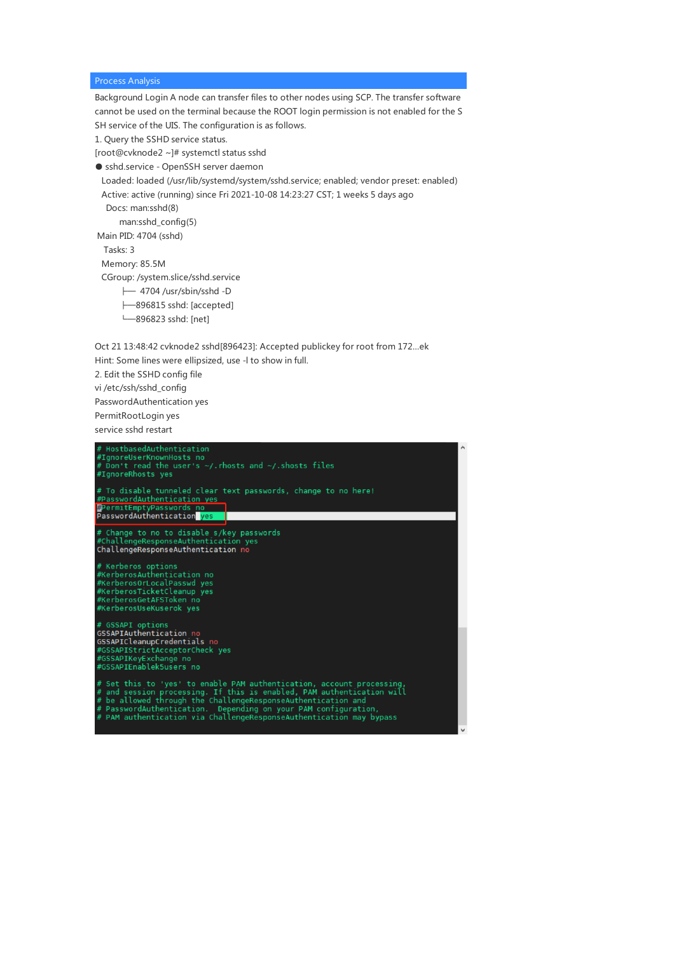## Process Analysis

Background Login A node can transfer files to other nodes using SCP. The transfer software cannot be used on the terminal because the ROOT login permission is not enabled for the S SH service of the UIS. The configuration is as follows.

1. Query the SSHD service status.

[root@cvknode2 ~]# systemctl status sshd

● sshd.service - OpenSSH server daemon

Loaded: loaded (/usr/lib/systemd/system/sshd.service; enabled; vendor preset: enabled) Active: active (running) since Fri 2021-10-08 14:23:27 CST; 1 weeks 5 days ago

Docs: man:sshd(8)

man:sshd\_config(5)

Main PID: 4704 (sshd)

Tasks: 3

Memory: 85.5M

CGroup: /system.slice/sshd.service

- ├─ 4704 /usr/sbin/sshd -D
- ├─896815 sshd: [accepted]

└─896823 sshd: [net]

Oct 21 13:48:42 cvknode2 sshd[896423]: Accepted publickey for root from 172...ek Hint: Some lines were ellipsized, use -l to show in full.

2. Edit the SSHD config file

vi /etc/ssh/sshd\_config

PasswordAuthentication yes

PermitRootLogin yes

service sshd restart